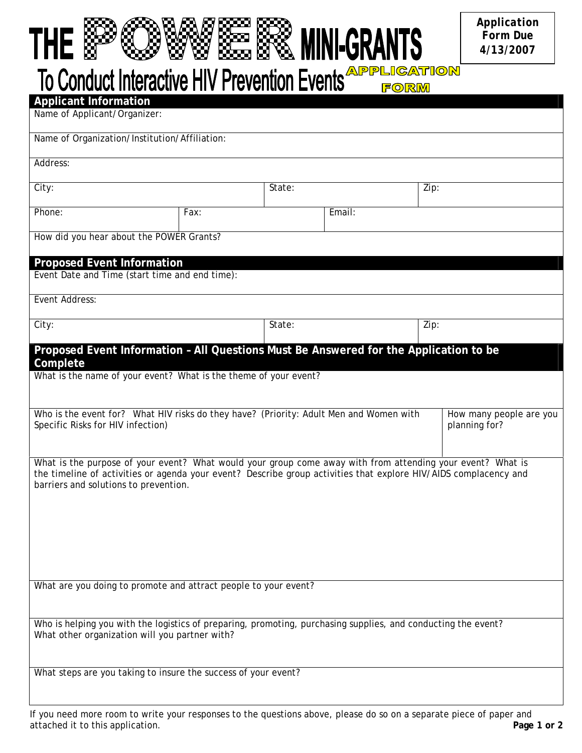## THE & SAME READ MINI-GRANTS

*Application Form Due 4/13/2007* 

To Conduct Interactive HIV Prevention Events **APPLIGATION** 

| <b>Applicant Information</b>                                                                                                                                    |      |        |        |      |                                          |  |
|-----------------------------------------------------------------------------------------------------------------------------------------------------------------|------|--------|--------|------|------------------------------------------|--|
| Name of Applicant/Organizer:                                                                                                                                    |      |        |        |      |                                          |  |
|                                                                                                                                                                 |      |        |        |      |                                          |  |
| Name of Organization/Institution/Affiliation:                                                                                                                   |      |        |        |      |                                          |  |
|                                                                                                                                                                 |      |        |        |      |                                          |  |
| Address:                                                                                                                                                        |      |        |        |      |                                          |  |
|                                                                                                                                                                 |      |        |        |      |                                          |  |
| City:                                                                                                                                                           |      | State: |        | Zip: |                                          |  |
| Phone:                                                                                                                                                          | Fax: |        | Email: |      |                                          |  |
|                                                                                                                                                                 |      |        |        |      |                                          |  |
| How did you hear about the POWER Grants?                                                                                                                        |      |        |        |      |                                          |  |
|                                                                                                                                                                 |      |        |        |      |                                          |  |
| <b>Proposed Event Information</b>                                                                                                                               |      |        |        |      |                                          |  |
| Event Date and Time (start time and end time):                                                                                                                  |      |        |        |      |                                          |  |
|                                                                                                                                                                 |      |        |        |      |                                          |  |
| Event Address:                                                                                                                                                  |      |        |        |      |                                          |  |
|                                                                                                                                                                 |      |        |        |      |                                          |  |
| City:                                                                                                                                                           |      | State: |        | Zip: |                                          |  |
|                                                                                                                                                                 |      |        |        |      |                                          |  |
| Proposed Event Information - All Questions Must Be Answered for the Application to be                                                                           |      |        |        |      |                                          |  |
| Complete                                                                                                                                                        |      |        |        |      |                                          |  |
| What is the name of your event? What is the theme of your event?                                                                                                |      |        |        |      |                                          |  |
|                                                                                                                                                                 |      |        |        |      |                                          |  |
|                                                                                                                                                                 |      |        |        |      |                                          |  |
| Who is the event for? What HIV risks do they have? (Priority: Adult Men and Women with<br>Specific Risks for HIV infection)                                     |      |        |        |      | How many people are you<br>planning for? |  |
|                                                                                                                                                                 |      |        |        |      |                                          |  |
|                                                                                                                                                                 |      |        |        |      |                                          |  |
| What is the purpose of your event? What would your group come away with from attending your event? What is                                                      |      |        |        |      |                                          |  |
| the timeline of activities or agenda your event? Describe group activities that explore HIV/AIDS complacency and                                                |      |        |        |      |                                          |  |
| barriers and solutions to prevention.                                                                                                                           |      |        |        |      |                                          |  |
|                                                                                                                                                                 |      |        |        |      |                                          |  |
|                                                                                                                                                                 |      |        |        |      |                                          |  |
|                                                                                                                                                                 |      |        |        |      |                                          |  |
|                                                                                                                                                                 |      |        |        |      |                                          |  |
|                                                                                                                                                                 |      |        |        |      |                                          |  |
|                                                                                                                                                                 |      |        |        |      |                                          |  |
|                                                                                                                                                                 |      |        |        |      |                                          |  |
| What are you doing to promote and attract people to your event?                                                                                                 |      |        |        |      |                                          |  |
|                                                                                                                                                                 |      |        |        |      |                                          |  |
|                                                                                                                                                                 |      |        |        |      |                                          |  |
| Who is helping you with the logistics of preparing, promoting, purchasing supplies, and conducting the event?<br>What other organization will you partner with? |      |        |        |      |                                          |  |
|                                                                                                                                                                 |      |        |        |      |                                          |  |
|                                                                                                                                                                 |      |        |        |      |                                          |  |
| What steps are you taking to insure the success of your event?                                                                                                  |      |        |        |      |                                          |  |
|                                                                                                                                                                 |      |        |        |      |                                          |  |
|                                                                                                                                                                 |      |        |        |      |                                          |  |
|                                                                                                                                                                 |      |        |        |      |                                          |  |

If you need more room to write your responses to the questions above, please do so on a separate piece of paper and attached it to this application. **Page 1 or 2**